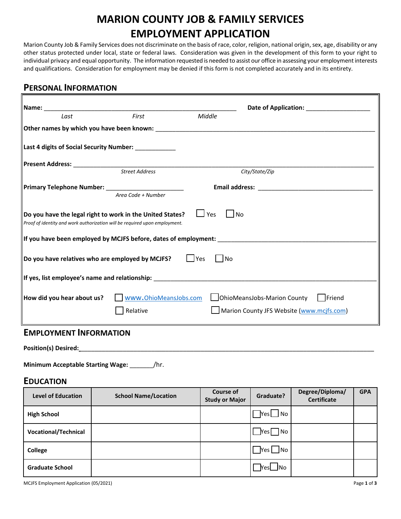# **MARION COUNTY JOB & FAMILY SERVICES EMPLOYMENT APPLICATION**

Marion County Job & Family Services does not discriminate on the basis of race, color, religion, national origin, sex, age, disability or any other status protected under local, state or federal laws. Consideration was given in the development of this form to your right to individual privacy and equal opportunity. The information requested is needed to assist our office in assessing your employment interests and qualifications. Consideration for employment may be denied if this form is not completed accurately and in its entirety.

### **PERSONAL INFORMATION**

| $\blacksquare$ Name: $\rule{1em}{0.15mm}$                                                                                                                                                                                           |                       |                  | Date of Application: Note that the state of Application: |  |  |  |
|-------------------------------------------------------------------------------------------------------------------------------------------------------------------------------------------------------------------------------------|-----------------------|------------------|----------------------------------------------------------|--|--|--|
| Last                                                                                                                                                                                                                                | First                 | Middle           |                                                          |  |  |  |
| $\vert$ Other names by which you have been known: $\vert$ and the state of the state of the state of the state of the state of the state of the state of the state of the state of the state of the state of the state of the state |                       |                  |                                                          |  |  |  |
| Last 4 digits of Social Security Number: ____________                                                                                                                                                                               |                       |                  |                                                          |  |  |  |
| Present Address: ____________________________                                                                                                                                                                                       |                       |                  |                                                          |  |  |  |
|                                                                                                                                                                                                                                     | Street Address        |                  | City/State/Zip                                           |  |  |  |
|                                                                                                                                                                                                                                     |                       |                  |                                                          |  |  |  |
|                                                                                                                                                                                                                                     | Area Code + Number    |                  |                                                          |  |  |  |
| Do you have the legal right to work in the United States?<br>Proof of identity and work authorization will be required upon employment.                                                                                             |                       | $\Box$ Yes       | ∐ No                                                     |  |  |  |
|                                                                                                                                                                                                                                     |                       |                  |                                                          |  |  |  |
| Do you have relatives who are employed by MCJFS?                                                                                                                                                                                    |                       | $ $ Yes<br>   No |                                                          |  |  |  |
|                                                                                                                                                                                                                                     |                       |                  |                                                          |  |  |  |
| How did you hear about us?                                                                                                                                                                                                          | www.OhioMeansJobs.com |                  | OhioMeansJobs-Marion County<br>Friend                    |  |  |  |
|                                                                                                                                                                                                                                     | Relative              |                  | Marion County JFS Website (www.mcjfs.com)                |  |  |  |
| <b>ENADLOVARENT INFODRAATION</b>                                                                                                                                                                                                    |                       |                  |                                                          |  |  |  |

#### **EMPLOYMENT INFORMATION**

**Position(s) Desired:** \_\_\_\_\_\_\_\_\_\_\_\_\_\_\_\_\_\_\_\_\_\_\_\_\_\_\_\_\_\_\_\_\_\_\_\_\_\_\_\_\_\_\_\_\_\_\_\_\_\_\_\_\_\_\_\_\_\_\_\_\_\_\_\_\_\_\_\_\_\_\_\_\_\_\_\_\_\_\_\_\_\_\_

**Minimum Acceptable Starting Wage:** \_\_\_\_\_\_\_/hr.

#### **EDUCATION**

| <b>Level of Education</b>   | <b>School Name/Location</b> | <b>Course of</b><br><b>Study or Major</b> | Graduate?                    | Degree/Diploma/<br><b>Certificate</b> | <b>GPA</b> |
|-----------------------------|-----------------------------|-------------------------------------------|------------------------------|---------------------------------------|------------|
| <b>High School</b>          |                             |                                           | $\sqrt{}$ Yes $\Box$ No      |                                       |            |
| <b>Vocational/Technical</b> |                             |                                           | $\bigcap$ Yes $\bigcap$ No   |                                       |            |
| College                     |                             |                                           | $\sqrt{}$ Yes $\bigsqcup$ No |                                       |            |
| <b>Graduate School</b>      |                             |                                           | ™es∐No                       |                                       |            |

MCJFS Employment Application (05/2021) Page **1** of **3**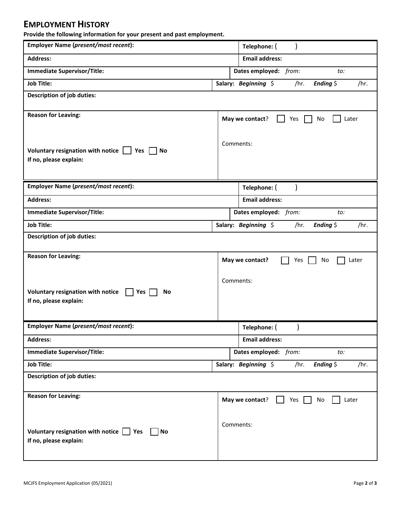## **EMPLOYMENT HISTORY**

**Provide the following information for your present and past employment.** 

| Employer Name (present/most recent):                                                      | Telephone: (                                           |  |  |  |  |  |  |
|-------------------------------------------------------------------------------------------|--------------------------------------------------------|--|--|--|--|--|--|
| <b>Address:</b>                                                                           | <b>Email address:</b>                                  |  |  |  |  |  |  |
| <b>Immediate Supervisor/Title:</b>                                                        | Dates employed: from:<br>to:                           |  |  |  |  |  |  |
| <b>Job Title:</b>                                                                         | Ending $\zeta$<br>Salary: Beginning \$<br>/hr.<br>/hr. |  |  |  |  |  |  |
| <b>Description of job duties:</b>                                                         |                                                        |  |  |  |  |  |  |
|                                                                                           |                                                        |  |  |  |  |  |  |
| <b>Reason for Leaving:</b>                                                                | May we contact?<br>No<br>Later<br>Yes                  |  |  |  |  |  |  |
|                                                                                           |                                                        |  |  |  |  |  |  |
| Voluntary resignation with notice $\Box$ Yes $\Box$ No                                    | Comments:                                              |  |  |  |  |  |  |
| If no, please explain:                                                                    |                                                        |  |  |  |  |  |  |
|                                                                                           |                                                        |  |  |  |  |  |  |
| Employer Name (present/most recent):                                                      | Telephone: (                                           |  |  |  |  |  |  |
| <b>Address:</b>                                                                           | <b>Email address:</b>                                  |  |  |  |  |  |  |
| <b>Immediate Supervisor/Title:</b>                                                        | Dates employed: from:<br>to:                           |  |  |  |  |  |  |
| <b>Job Title:</b>                                                                         | Salary: Beginning \$<br>/hr.<br>Ending $\zeta$<br>/hr. |  |  |  |  |  |  |
| <b>Description of job duties:</b>                                                         |                                                        |  |  |  |  |  |  |
|                                                                                           |                                                        |  |  |  |  |  |  |
| <b>Reason for Leaving:</b><br>May we contact?<br>No<br>Later<br>Yes                       |                                                        |  |  |  |  |  |  |
|                                                                                           |                                                        |  |  |  |  |  |  |
|                                                                                           | Comments:                                              |  |  |  |  |  |  |
| Voluntary resignation with notice<br>$\vert$   Yes<br>No<br>If no, please explain:        |                                                        |  |  |  |  |  |  |
|                                                                                           |                                                        |  |  |  |  |  |  |
| Employer Name (present/most recent):                                                      | Telephone: (                                           |  |  |  |  |  |  |
| <b>Address:</b>                                                                           | <b>Email address:</b>                                  |  |  |  |  |  |  |
| <b>Immediate Supervisor/Title:</b>                                                        | Dates employed: from:<br>to:                           |  |  |  |  |  |  |
| <b>Job Title:</b>                                                                         | Salary: Beginning \$<br>Ending $\zeta$<br>/hr.<br>/hr. |  |  |  |  |  |  |
| <b>Description of job duties:</b>                                                         |                                                        |  |  |  |  |  |  |
|                                                                                           |                                                        |  |  |  |  |  |  |
| <b>Reason for Leaving:</b><br>May we contact?<br>No<br>Later<br>Yes                       |                                                        |  |  |  |  |  |  |
|                                                                                           |                                                        |  |  |  |  |  |  |
|                                                                                           | Comments:                                              |  |  |  |  |  |  |
| Voluntary resignation with notice $\vert \cdot \vert$ Yes<br>No<br>If no, please explain: |                                                        |  |  |  |  |  |  |
|                                                                                           |                                                        |  |  |  |  |  |  |
|                                                                                           |                                                        |  |  |  |  |  |  |